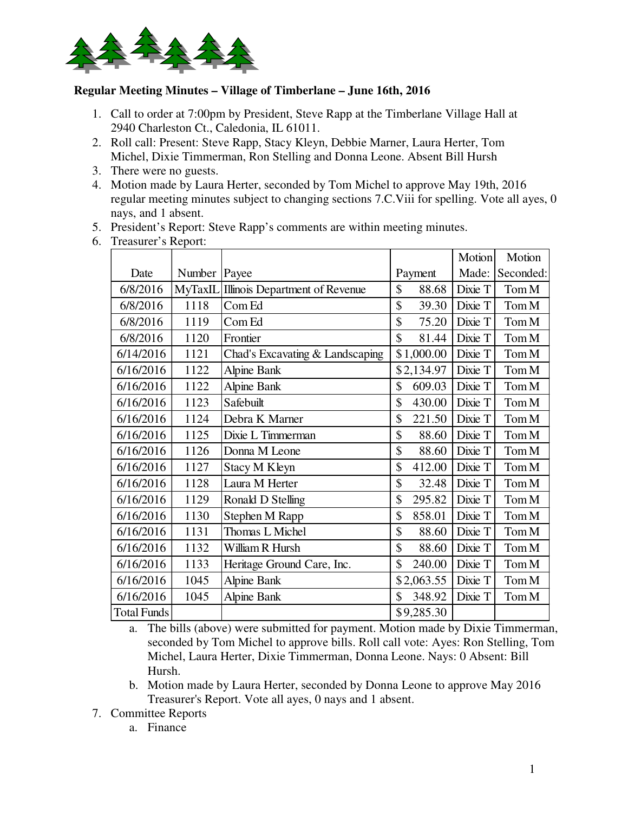

## **Regular Meeting Minutes – Village of Timberlane – June 16th, 2016**

- 1. Call to order at 7:00pm by President, Steve Rapp at the Timberlane Village Hall at 2940 Charleston Ct., Caledonia, IL 61011.
- 2. Roll call: Present: Steve Rapp, Stacy Kleyn, Debbie Marner, Laura Herter, Tom Michel, Dixie Timmerman, Ron Stelling and Donna Leone. Absent Bill Hursh
- 3. There were no guests.
- 4. Motion made by Laura Herter, seconded by Tom Michel to approve May 19th, 2016 regular meeting minutes subject to changing sections 7.C.Viii for spelling. Vote all ayes, 0 nays, and 1 absent.
- 5. President's Report: Steve Rapp's comments are within meeting minutes.
- 6. Treasurer's Report:

|                    |                |                                 |              | <b>Motion</b> | Motion    |
|--------------------|----------------|---------------------------------|--------------|---------------|-----------|
| Date               | Number         | Payee                           | Payment      | Made:         | Seconded: |
| 6/8/2016           | <b>MyTaxIL</b> | Illinois Department of Revenue  | \$<br>88.68  | Dixie T       | Tom M     |
| 6/8/2016           | 1118           | Com Ed                          | \$<br>39.30  | Dixie T       | Tom M     |
| 6/8/2016           | 1119           | Com Ed                          | \$<br>75.20  | Dixie T       | Tom M     |
| 6/8/2016           | 1120           | Frontier                        | \$<br>81.44  | Dixie T       | Tom M     |
| 6/14/2016          | 1121           | Chad's Excavating & Landscaping | \$1,000.00   | Dixie T       | Tom M     |
| 6/16/2016          | 1122           | <b>Alpine Bank</b>              | \$2,134.97   | Dixie T       | Tom M     |
| 6/16/2016          | 1122           | <b>Alpine Bank</b>              | \$<br>609.03 | Dixie T       | Tom M     |
| 6/16/2016          | 1123           | Safebuilt                       | \$<br>430.00 | Dixie T       | Tom M     |
| 6/16/2016          | 1124           | Debra K Marner                  | \$<br>221.50 | Dixie T       | Tom M     |
| 6/16/2016          | 1125           | Dixie L Timmerman               | \$<br>88.60  | Dixie T       | Tom M     |
| 6/16/2016          | 1126           | Donna M Leone                   | \$<br>88.60  | Dixie T       | Tom M     |
| 6/16/2016          | 1127           | <b>Stacy M Kleyn</b>            | \$<br>412.00 | Dixie T       | Tom M     |
| 6/16/2016          | 1128           | Laura M Herter                  | \$<br>32.48  | Dixie T       | Tom M     |
| 6/16/2016          | 1129           | Ronald D Stelling               | \$<br>295.82 | Dixie T       | Tom M     |
| 6/16/2016          | 1130           | Stephen M Rapp                  | \$<br>858.01 | Dixie T       | Tom M     |
| 6/16/2016          | 1131           | Thomas L Michel                 | \$<br>88.60  | Dixie T       | Tom M     |
| 6/16/2016          | 1132           | William R Hursh                 | \$<br>88.60  | Dixie T       | Tom M     |
| 6/16/2016          | 1133           | Heritage Ground Care, Inc.      | \$<br>240.00 | Dixie T       | Tom M     |
| 6/16/2016          | 1045           | <b>Alpine Bank</b>              | \$2,063.55   | Dixie T       | Tom M     |
| 6/16/2016          | 1045           | <b>Alpine Bank</b>              | \$<br>348.92 | Dixie T       | Tom M     |
| <b>Total Funds</b> |                |                                 | \$9,285.30   |               |           |

a. The bills (above) were submitted for payment. Motion made by Dixie Timmerman, seconded by Tom Michel to approve bills. Roll call vote: Ayes: Ron Stelling, Tom Michel, Laura Herter, Dixie Timmerman, Donna Leone. Nays: 0 Absent: Bill Hursh.

- b. Motion made by Laura Herter, seconded by Donna Leone to approve May 2016 Treasurer's Report. Vote all ayes, 0 nays and 1 absent.
- 7. Committee Reports
	- a. Finance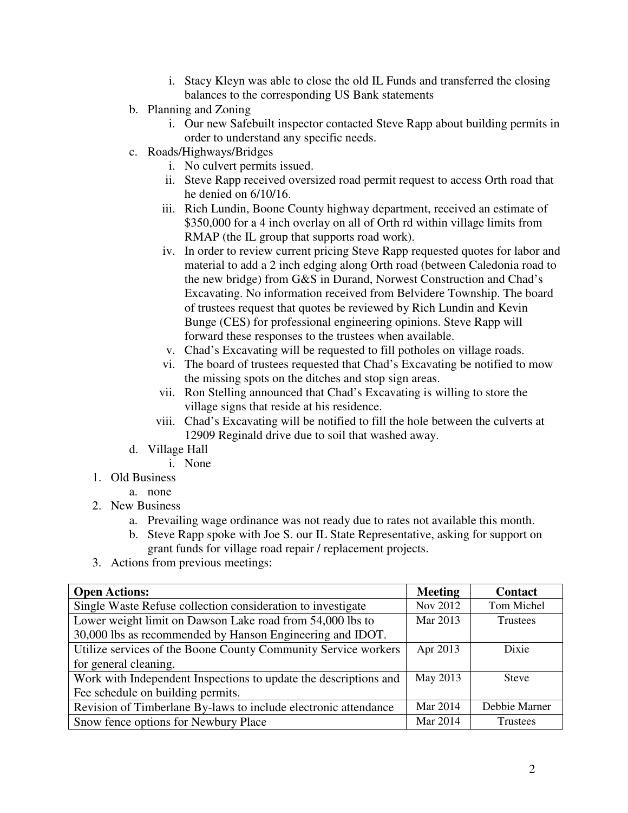- i. Stacy Kleyn was able to close the old IL Funds and transferred the closing balances to the corresponding US Bank statements
- b. Planning and Zoning
	- i. Our new Safebuilt inspector contacted Steve Rapp about building permits in order to understand any specific needs.
- c. Roads/Highways/Bridges
	- i. No culvert permits issued.
	- ii. Steve Rapp received oversized road permit request to access Orth road that he denied on 6/10/16.
	- iii. Rich Lundin, Boone County highway department, received an estimate of \$350,000 for a 4 inch overlay on all of Orth rd within village limits from RMAP (the IL group that supports road work).
	- iv. In order to review current pricing Steve Rapp requested quotes for labor and material to add a 2 inch edging along Orth road (between Caledonia road to the new bridge) from G&S in Durand, Norwest Construction and Chad's Excavating. No information received from Belvidere Township. The board of trustees request that quotes be reviewed by Rich Lundin and Kevin Bunge (CES) for professional engineering opinions. Steve Rapp will forward these responses to the trustees when available.
	- v. Chad's Excavating will be requested to fill potholes on village roads.
	- vi. The board of trustees requested that Chad's Excavating be notified to mow the missing spots on the ditches and stop sign areas.
	- vii. Ron Stelling announced that Chad's Excavating is willing to store the village signs that reside at his residence.
	- viii. Chad's Excavating will be notified to fill the hole between the culverts at 12909 Reginald drive due to soil that washed away.
- d. Village Hall
	- i. None
- 1. Old Business
	- a. none
- 2. New Business
	- a. Prevailing wage ordinance was not ready due to rates not available this month.
	- b. Steve Rapp spoke with Joe S. our IL State Representative, asking for support on grant funds for village road repair / replacement projects.
- 3. Actions from previous meetings:

| <b>Open Actions:</b>                                             | <b>Meeting</b> | <b>Contact</b> |
|------------------------------------------------------------------|----------------|----------------|
| Single Waste Refuse collection consideration to investigate      | Nov 2012       | Tom Michel     |
| Lower weight limit on Dawson Lake road from 54,000 lbs to        | Mar 2013       | Trustees       |
| 30,000 lbs as recommended by Hanson Engineering and IDOT.        |                |                |
| Utilize services of the Boone County Community Service workers   | Apr 2013       | Dixie          |
| for general cleaning.                                            |                |                |
| Work with Independent Inspections to update the descriptions and | May 2013       | <b>Steve</b>   |
| Fee schedule on building permits.                                |                |                |
| Revision of Timberlane By-laws to include electronic attendance  | Mar 2014       | Debbie Marner  |
| Snow fence options for Newbury Place                             | Mar 2014       | Trustees       |